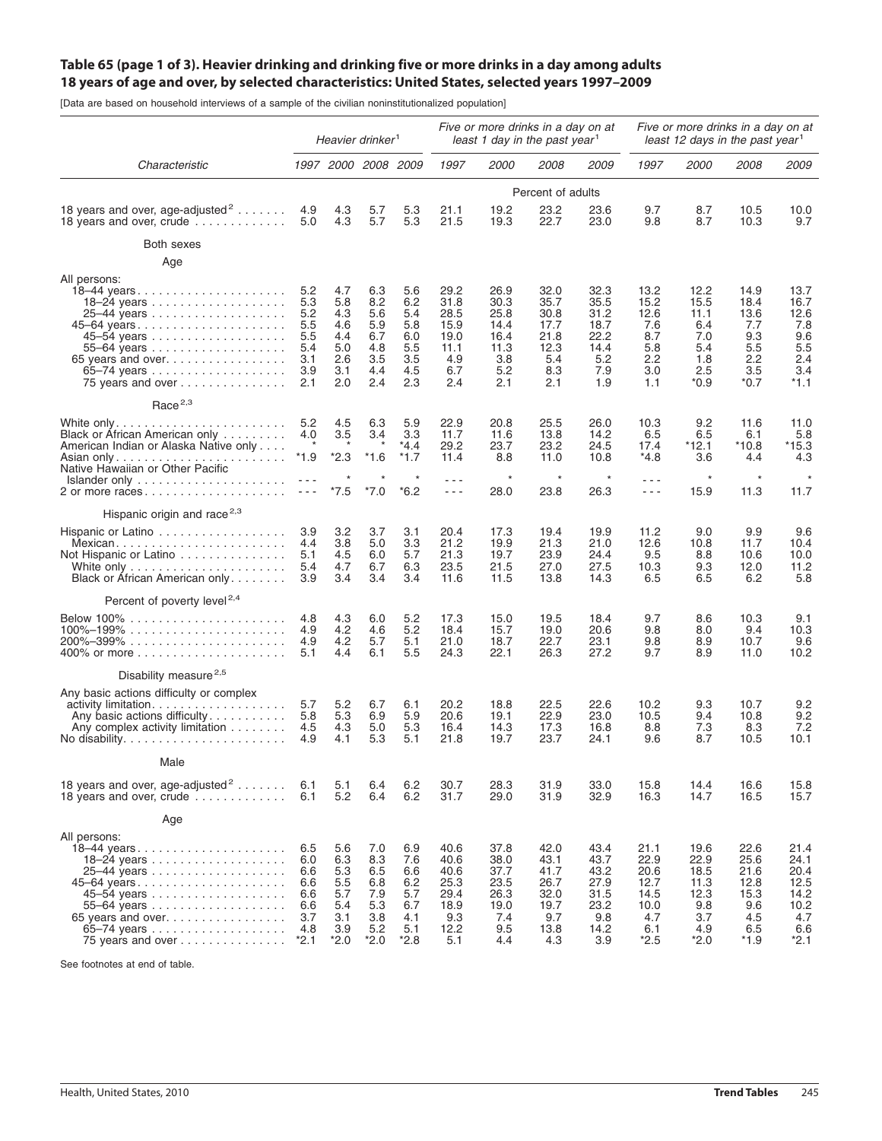## Table 65 (page 1 of 3). Heavier drinking and drinking five or more drinks in a day among adults **18 years of age and over, by selected characteristics: United States, selected years 1997–2009**

[Data are based on household interviews of a sample of the civilian noninstitutionalized population]

|                                                                                                                                                                                                        | Heavier drinker <sup>1</sup>                                                                                                                                                                                                                                                                                                                                                                                                                                                      |                                                                |                                                              |                                                              | Five or more drinks in a day on at<br>least 1 day in the past year <sup>1</sup> |                                                                   |                                                                    |                                                                    | Five or more drinks in a day on at<br>least 12 days in the past year <sup>1</sup> |                                                                     |                                                                   |                                                                    |  |
|--------------------------------------------------------------------------------------------------------------------------------------------------------------------------------------------------------|-----------------------------------------------------------------------------------------------------------------------------------------------------------------------------------------------------------------------------------------------------------------------------------------------------------------------------------------------------------------------------------------------------------------------------------------------------------------------------------|----------------------------------------------------------------|--------------------------------------------------------------|--------------------------------------------------------------|---------------------------------------------------------------------------------|-------------------------------------------------------------------|--------------------------------------------------------------------|--------------------------------------------------------------------|-----------------------------------------------------------------------------------|---------------------------------------------------------------------|-------------------------------------------------------------------|--------------------------------------------------------------------|--|
| Characteristic                                                                                                                                                                                         |                                                                                                                                                                                                                                                                                                                                                                                                                                                                                   | 1997 2000 2008 2009                                            |                                                              |                                                              | 1997                                                                            | <i>2000</i>                                                       | <i>2008</i>                                                        | <i>2009</i>                                                        | 1997                                                                              | <i>2000</i>                                                         | <i>2008</i>                                                       | <i>2009</i>                                                        |  |
|                                                                                                                                                                                                        |                                                                                                                                                                                                                                                                                                                                                                                                                                                                                   |                                                                |                                                              |                                                              | Percent of adults                                                               |                                                                   |                                                                    |                                                                    |                                                                                   |                                                                     |                                                                   |                                                                    |  |
| 18 years and over, age-adjusted <sup>2</sup><br>18 years and over, crude $\ldots \ldots \ldots$                                                                                                        | 4.9<br>5.0                                                                                                                                                                                                                                                                                                                                                                                                                                                                        | 4.3<br>4.3                                                     | 5.7<br>5.7                                                   | 5.3<br>5.3                                                   | 21.1<br>21.5                                                                    | 19.2<br>19.3                                                      | 23.2<br>22.7                                                       | 23.6<br>23.0                                                       | 9.7<br>9.8                                                                        | 8.7<br>8.7                                                          | 10.5<br>10.3                                                      | 10.0<br>9.7                                                        |  |
| Both sexes                                                                                                                                                                                             |                                                                                                                                                                                                                                                                                                                                                                                                                                                                                   |                                                                |                                                              |                                                              |                                                                                 |                                                                   |                                                                    |                                                                    |                                                                                   |                                                                     |                                                                   |                                                                    |  |
| Age                                                                                                                                                                                                    |                                                                                                                                                                                                                                                                                                                                                                                                                                                                                   |                                                                |                                                              |                                                              |                                                                                 |                                                                   |                                                                    |                                                                    |                                                                                   |                                                                     |                                                                   |                                                                    |  |
| All persons:<br>18-44 years<br>45-64 years<br>65 years and over<br>75 years and over                                                                                                                   | 5.2<br>5.3<br>5.2<br>5.5<br>5.5<br>5.4<br>3.1<br>3.9<br>2.1                                                                                                                                                                                                                                                                                                                                                                                                                       | 4.7<br>5.8<br>4.3<br>4.6<br>4.4<br>5.0<br>2.6<br>3.1<br>2.0    | 6.3<br>8.2<br>5.6<br>5.9<br>6.7<br>4.8<br>3.5<br>4.4<br>2.4  | 5.6<br>6.2<br>5.4<br>5.8<br>6.0<br>5.5<br>3.5<br>4.5<br>2.3  | 29.2<br>31.8<br>28.5<br>15.9<br>19.0<br>11.1<br>4.9<br>6.7<br>2.4               | 26.9<br>30.3<br>25.8<br>14.4<br>16.4<br>11.3<br>3.8<br>5.2<br>2.1 | 32.0<br>35.7<br>30.8<br>17.7<br>21.8<br>12.3<br>5.4<br>8.3<br>2.1  | 32.3<br>35.5<br>31.2<br>18.7<br>22.2<br>14.4<br>5.2<br>7.9<br>1.9  | 13.2<br>15.2<br>12.6<br>7.6<br>8.7<br>5.8<br>2.2<br>3.0<br>1.1                    | 12.2<br>15.5<br>11.1<br>6.4<br>7.0<br>5.4<br>1.8<br>2.5<br>*0.9     | 14.9<br>18.4<br>13.6<br>7.7<br>9.3<br>5.5<br>2.2<br>3.5<br>$*0.7$ | 13.7<br>16.7<br>12.6<br>7.8<br>9.6<br>5.5<br>2.4<br>3.4<br>$*1.1$  |  |
| Race <sup>2,3</sup>                                                                                                                                                                                    |                                                                                                                                                                                                                                                                                                                                                                                                                                                                                   |                                                                |                                                              |                                                              |                                                                                 |                                                                   |                                                                    |                                                                    |                                                                                   |                                                                     |                                                                   |                                                                    |  |
| Black or African American only<br>American Indian or Alaska Native only<br>Asian only<br>Native Hawaiian or Other Pacific                                                                              | 5.2<br>4.0<br>$\star$<br>*1.9                                                                                                                                                                                                                                                                                                                                                                                                                                                     | 4.5<br>3.5<br>$\star$<br>$*2.3$                                | 6.3<br>3.4<br>$*1.6$                                         | 5.9<br>3.3<br>$*4.4$<br>$*1.7$                               | 22.9<br>11.7<br>29.2<br>11.4                                                    | 20.8<br>11.6<br>23.7<br>8.8                                       | 25.5<br>13.8<br>23.2<br>11.0                                       | 26.0<br>14.2<br>24.5<br>10.8                                       | 10.3<br>6.5<br>17.4<br>*4.8                                                       | 9.2<br>6.5<br>*12.1<br>3.6                                          | 11.6<br>6.1<br>*10.8<br>4.4                                       | 11.0<br>5.8<br>*15.3<br>4.3                                        |  |
| $Islander only \ldots \ldots \ldots \ldots \ldots \ldots$<br>2 or more races                                                                                                                           | $\frac{1}{2} \left( \frac{1}{2} \right) = \frac{1}{2} \left( \frac{1}{2} \right)$<br>$\frac{1}{2} \frac{1}{2} \frac{1}{2} \frac{1}{2} \frac{1}{2} \frac{1}{2} \frac{1}{2} \frac{1}{2} \frac{1}{2} \frac{1}{2} \frac{1}{2} \frac{1}{2} \frac{1}{2} \frac{1}{2} \frac{1}{2} \frac{1}{2} \frac{1}{2} \frac{1}{2} \frac{1}{2} \frac{1}{2} \frac{1}{2} \frac{1}{2} \frac{1}{2} \frac{1}{2} \frac{1}{2} \frac{1}{2} \frac{1}{2} \frac{1}{2} \frac{1}{2} \frac{1}{2} \frac{1}{2} \frac{$ | $*7.5$                                                         | *7.0                                                         | $*6.2$                                                       | $\sim$ $\sim$ $\sim$<br>$  -$                                                   | $\star$<br>28.0                                                   | $\star$<br>23.8                                                    | $\star$<br>26.3                                                    | $\sim$ $\sim$ $\sim$<br>$\sim$ $\sim$ $\sim$                                      | $\star$<br>15.9                                                     | $\star$<br>11.3                                                   | $\star$<br>11.7                                                    |  |
| Hispanic origin and race <sup>2,3</sup>                                                                                                                                                                |                                                                                                                                                                                                                                                                                                                                                                                                                                                                                   |                                                                |                                                              |                                                              |                                                                                 |                                                                   |                                                                    |                                                                    |                                                                                   |                                                                     |                                                                   |                                                                    |  |
| Hispanic or Latino<br>Mexican<br>Not Hispanic or Latino<br>Black or African American only                                                                                                              | 3.9<br>4.4<br>5.1<br>5.4<br>3.9                                                                                                                                                                                                                                                                                                                                                                                                                                                   | 3.2<br>3.8<br>4.5<br>4.7<br>3.4                                | 3.7<br>5.0<br>6.0<br>6.7<br>3.4                              | 3.1<br>3.3<br>5.7<br>6.3<br>3.4                              | 20.4<br>21.2<br>21.3<br>23.5<br>11.6                                            | 17.3<br>19.9<br>19.7<br>21.5<br>11.5                              | 19.4<br>21.3<br>23.9<br>27.0<br>13.8                               | 19.9<br>21.0<br>24.4<br>27.5<br>14.3                               | 11.2<br>12.6<br>9.5<br>10.3<br>6.5                                                | 9.0<br>10.8<br>8.8<br>9.3<br>6.5                                    | 9.9<br>11.7<br>10.6<br>12.0<br>6.2                                | 9.6<br>10.4<br>10.0<br>11.2<br>5.8                                 |  |
| Percent of poverty level <sup>2,4</sup>                                                                                                                                                                |                                                                                                                                                                                                                                                                                                                                                                                                                                                                                   |                                                                |                                                              |                                                              |                                                                                 |                                                                   |                                                                    |                                                                    |                                                                                   |                                                                     |                                                                   |                                                                    |  |
| $100\% - 199\%$                                                                                                                                                                                        | 4.8<br>4.9<br>4.9<br>5.1                                                                                                                                                                                                                                                                                                                                                                                                                                                          | 4.3<br>4.2<br>4.2<br>4.4                                       | 6.0<br>4.6<br>5.7<br>6.1                                     | 5.2<br>5.2<br>5.1<br>5.5                                     | 17.3<br>18.4<br>21.0<br>24.3                                                    | 15.0<br>15.7<br>18.7<br>22.1                                      | 19.5<br>19.0<br>22.7<br>26.3                                       | 18.4<br>20.6<br>23.1<br>27.2                                       | 9.7<br>9.8<br>9.8<br>9.7                                                          | 8.6<br>8.0<br>8.9<br>8.9                                            | 10.3<br>9.4<br>10.7<br>11.0                                       | 9.1<br>10.3<br>9.6<br>10.2                                         |  |
| Disability measure <sup>2,5</sup>                                                                                                                                                                      |                                                                                                                                                                                                                                                                                                                                                                                                                                                                                   |                                                                |                                                              |                                                              |                                                                                 |                                                                   |                                                                    |                                                                    |                                                                                   |                                                                     |                                                                   |                                                                    |  |
| Any basic actions difficulty or complex<br>activity limitation<br>Any basic actions difficulty<br>Any complex activity limitation<br>No disability. $\ldots \ldots \ldots \ldots \ldots \ldots \ldots$ | 5.7<br>5.8<br>4.5<br>4.9                                                                                                                                                                                                                                                                                                                                                                                                                                                          | 5.2<br>5.3<br>4.3<br>4.1                                       | 6.7<br>6.9<br>5.0<br>5.3                                     | 6.1<br>5.9<br>5.3<br>5.1                                     | 20.2<br>20.6<br>16.4<br>21.8                                                    | 18.8<br>19.1<br>14.3<br>19.7                                      | 22.5<br>22.9<br>17.3<br>23.7                                       | 22.6<br>23.0<br>16.8<br>24.1                                       | 10.2<br>10.5<br>8.8<br>9.6                                                        | 9.3<br>9.4<br>7.3<br>8.7                                            | 10.7<br>10.8<br>8.3<br>10.5                                       | 9.2<br>9.2<br>7.2<br>10.1                                          |  |
| Male                                                                                                                                                                                                   |                                                                                                                                                                                                                                                                                                                                                                                                                                                                                   |                                                                |                                                              |                                                              |                                                                                 |                                                                   |                                                                    |                                                                    |                                                                                   |                                                                     |                                                                   |                                                                    |  |
| 18 years and over, age-adjusted <sup>2</sup><br>18 years and over, crude $\ldots \ldots \ldots$                                                                                                        | 6.1<br>6.1                                                                                                                                                                                                                                                                                                                                                                                                                                                                        | 5.1<br>5.2                                                     | 6.4<br>6.4                                                   | 6.2<br>6.2                                                   | 30.7<br>31.7                                                                    | 28.3<br>29.0                                                      | 31.9<br>31.9                                                       | 33.0<br>32.9                                                       | 15.8<br>16.3                                                                      | 14.4<br>14.7                                                        | 16.6<br>16.5                                                      | 15.8<br>15.7                                                       |  |
| Age                                                                                                                                                                                                    |                                                                                                                                                                                                                                                                                                                                                                                                                                                                                   |                                                                |                                                              |                                                              |                                                                                 |                                                                   |                                                                    |                                                                    |                                                                                   |                                                                     |                                                                   |                                                                    |  |
| All persons:<br>18-44 years<br>45–64 years<br>65 years and over<br>75 years and over                                                                                                                   | 6.5<br>6.0<br>6.6<br>6.6<br>6.6<br>6.6<br>3.7<br>4.8<br>$*2.1$                                                                                                                                                                                                                                                                                                                                                                                                                    | 5.6<br>6.3<br>5.3<br>5.5<br>5.7<br>5.4<br>3.1<br>3.9<br>$*2.0$ | 7.0<br>8.3<br>6.5<br>6.8<br>7.9<br>5.3<br>3.8<br>5.2<br>*2.0 | 6.9<br>7.6<br>6.6<br>6.2<br>5.7<br>6.7<br>4.1<br>5.1<br>*2.8 | 40.6<br>40.6<br>40.6<br>25.3<br>29.4<br>18.9<br>9.3<br>12.2<br>5.1              | 37.8<br>38.0<br>37.7<br>23.5<br>26.3<br>19.0<br>7.4<br>9.5<br>4.4 | 42.0<br>43.1<br>41.7<br>26.7<br>32.0<br>19.7<br>9.7<br>13.8<br>4.3 | 43.4<br>43.7<br>43.2<br>27.9<br>31.5<br>23.2<br>9.8<br>14.2<br>3.9 | 21.1<br>22.9<br>20.6<br>12.7<br>14.5<br>10.0<br>4.7<br>6.1<br>*2.5                | 19.6<br>22.9<br>18.5<br>11.3<br>12.3<br>9.8<br>3.7<br>4.9<br>$*2.0$ | 22.6<br>25.6<br>21.6<br>12.8<br>15.3<br>9.6<br>4.5<br>6.5<br>*1.9 | 21.4<br>24.1<br>20.4<br>12.5<br>14.2<br>10.2<br>4.7<br>6.6<br>*2.1 |  |

See footnotes at end of table.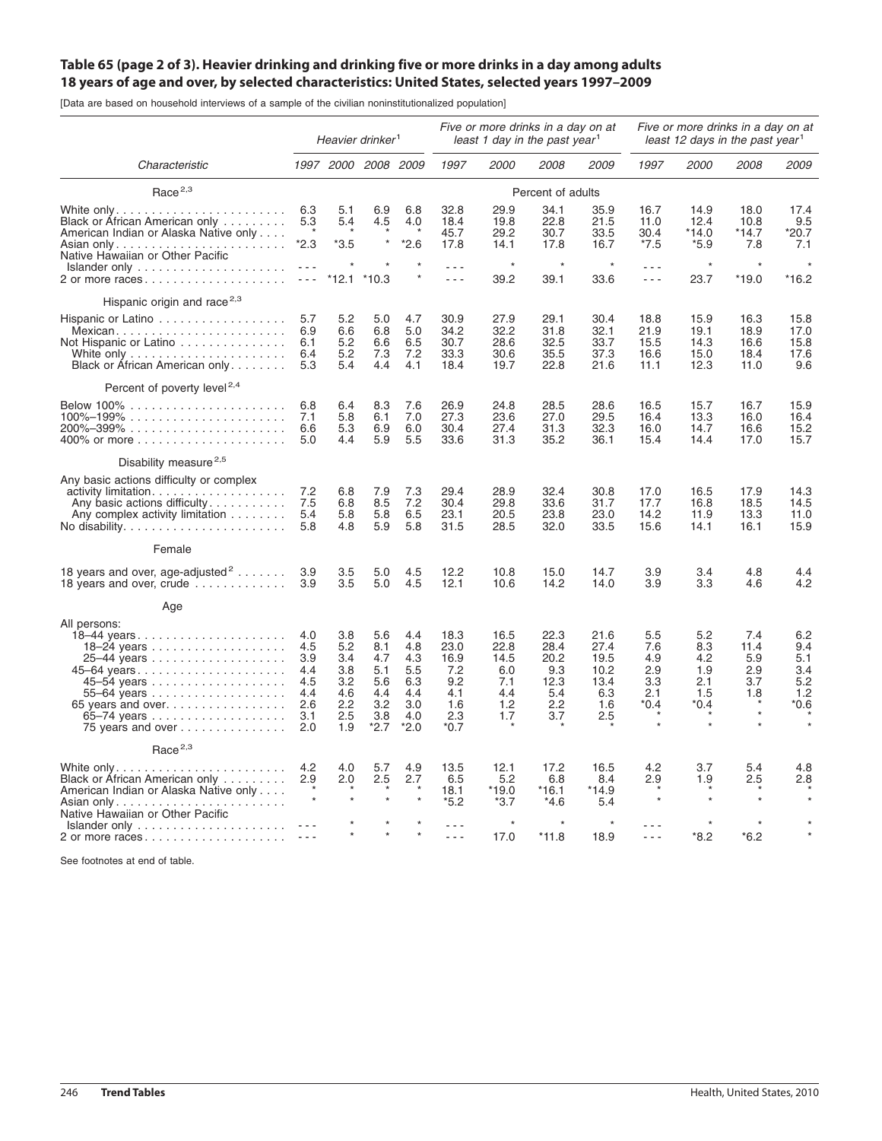## Table 65 (page 2 of 3). Heavier drinking and drinking five or more drinks in a day among adults **18 years of age and over, by selected characteristics: United States, selected years 1997–2009**

[Data are based on household interviews of a sample of the civilian noninstitutionalized population]

|                                                                                                                                                                                   | Heavier drinker <sup>1</sup>                                |                                                             |                                                                |                                                                | Five or more drinks in a day on at<br>least 1 day in the past year <sup>1</sup> |                                                         |                                                          |                                                           | Five or more drinks in a day on at<br>least 12 days in the past year <sup>1</sup> |                                                  |                                         |                                                |
|-----------------------------------------------------------------------------------------------------------------------------------------------------------------------------------|-------------------------------------------------------------|-------------------------------------------------------------|----------------------------------------------------------------|----------------------------------------------------------------|---------------------------------------------------------------------------------|---------------------------------------------------------|----------------------------------------------------------|-----------------------------------------------------------|-----------------------------------------------------------------------------------|--------------------------------------------------|-----------------------------------------|------------------------------------------------|
| Characteristic                                                                                                                                                                    |                                                             |                                                             | 1997 2000 2008 2009                                            |                                                                | 1997                                                                            | 2000                                                    | 2008                                                     | 2009                                                      | 1997                                                                              | <i>2000</i>                                      | 2008                                    | <i>2009</i>                                    |
| Race $2,3$                                                                                                                                                                        |                                                             |                                                             |                                                                |                                                                | Percent of adults                                                               |                                                         |                                                          |                                                           |                                                                                   |                                                  |                                         |                                                |
| Black or African American only<br>American Indian or Alaska Native only                                                                                                           | 6.3<br>5.3                                                  | 5.1<br>5.4                                                  | 6.9<br>4.5<br>$\star$                                          | 6.8<br>4.0<br>$*2.6$                                           | 32.8<br>18.4<br>45.7                                                            | 29.9<br>19.8<br>29.2                                    | 34.1<br>22.8<br>30.7                                     | 35.9<br>21.5<br>33.5                                      | 16.7<br>11.0<br>30.4                                                              | 14.9<br>12.4<br>$*14.0$                          | 18.0<br>10.8<br>$*14.7$                 | 17.4<br>9.5<br>*20.7                           |
| Native Hawaiian or Other Pacific<br>$Islander only \ldots \ldots \ldots \ldots \ldots$                                                                                            | $*2.3$                                                      | *3.5                                                        |                                                                |                                                                | 17.8                                                                            | 14.1<br>$\star$                                         | 17.8                                                     | 16.7                                                      | $*7.5$                                                                            | $*5.9$<br>$\star$                                | 7.8<br>$\star$                          | 7.1                                            |
| 2 or more races                                                                                                                                                                   | $\sim$ $\sim$ $\sim$                                        | *12.1                                                       | $*10.3$                                                        |                                                                | $\sim$ $\sim$ $\sim$                                                            | 39.2                                                    | 39.1                                                     | 33.6                                                      | $ -$                                                                              | 23.7                                             | $*19.0$                                 | $*16.2$                                        |
| Hispanic origin and race $2,3$                                                                                                                                                    |                                                             |                                                             |                                                                |                                                                |                                                                                 |                                                         |                                                          |                                                           |                                                                                   |                                                  |                                         |                                                |
| Hispanic or Latino<br>Not Hispanic or Latino<br>Black or African American only                                                                                                    | 5.7<br>6.9<br>6.1<br>6.4<br>5.3                             | 5.2<br>6.6<br>5.2<br>5.2<br>5.4                             | 5.0<br>6.8<br>6.6<br>7.3<br>4.4                                | 4.7<br>5.0<br>6.5<br>7.2<br>4.1                                | 30.9<br>34.2<br>30.7<br>33.3<br>18.4                                            | 27.9<br>32.2<br>28.6<br>30.6<br>19.7                    | 29.1<br>31.8<br>32.5<br>35.5<br>22.8                     | 30.4<br>32.1<br>33.7<br>37.3<br>21.6                      | 18.8<br>21.9<br>15.5<br>16.6<br>11.1                                              | 15.9<br>19.1<br>14.3<br>15.0<br>12.3             | 16.3<br>18.9<br>16.6<br>18.4<br>11.0    | 15.8<br>17.0<br>15.8<br>17.6<br>9.6            |
| Percent of poverty level <sup>2,4</sup>                                                                                                                                           |                                                             |                                                             |                                                                |                                                                |                                                                                 |                                                         |                                                          |                                                           |                                                                                   |                                                  |                                         |                                                |
| $100\% - 199\%$                                                                                                                                                                   | 6.8<br>7.1<br>6.6<br>5.0                                    | 6.4<br>5.8<br>5.3<br>4.4                                    | 8.3<br>6.1<br>6.9<br>5.9                                       | 7.6<br>7.0<br>6.0<br>5.5                                       | 26.9<br>27.3<br>30.4<br>33.6                                                    | 24.8<br>23.6<br>27.4<br>31.3                            | 28.5<br>27.0<br>31.3<br>35.2                             | 28.6<br>29.5<br>32.3<br>36.1                              | 16.5<br>16.4<br>16.0<br>15.4                                                      | 15.7<br>13.3<br>14.7<br>14.4                     | 16.7<br>16.0<br>16.6<br>17.0            | 15.9<br>16.4<br>15.2<br>15.7                   |
| Disability measure <sup>2,5</sup>                                                                                                                                                 |                                                             |                                                             |                                                                |                                                                |                                                                                 |                                                         |                                                          |                                                           |                                                                                   |                                                  |                                         |                                                |
| Any basic actions difficulty or complex<br>Any basic actions difficulty<br>Any complex activity limitation<br>No disability. $\ldots$ . $\ldots$ . $\ldots$ . $\ldots$ . $\ldots$ | 7.2<br>7.5<br>5.4<br>5.8                                    | 6.8<br>6.8<br>5.8<br>4.8                                    | 7.9<br>8.5<br>5.8<br>5.9                                       | 7.3<br>7.2<br>6.5<br>5.8                                       | 29.4<br>30.4<br>23.1<br>31.5                                                    | 28.9<br>29.8<br>20.5<br>28.5                            | 32.4<br>33.6<br>23.8<br>32.0                             | 30.8<br>31.7<br>23.0<br>33.5                              | 17.0<br>17.7<br>14.2<br>15.6                                                      | 16.5<br>16.8<br>11.9<br>14.1                     | 17.9<br>18.5<br>13.3<br>16.1            | 14.3<br>14.5<br>11.0<br>15.9                   |
| Female                                                                                                                                                                            |                                                             |                                                             |                                                                |                                                                |                                                                                 |                                                         |                                                          |                                                           |                                                                                   |                                                  |                                         |                                                |
| 18 years and over, age-adjusted <sup>2</sup><br>18 years and over, crude                                                                                                          | 3.9<br>3.9                                                  | 3.5<br>3.5                                                  | 5.0<br>5.0                                                     | 4.5<br>4.5                                                     | 12.2<br>12.1                                                                    | 10.8<br>10.6                                            | 15.0<br>14.2                                             | 14.7<br>14.0                                              | 3.9<br>3.9                                                                        | 3.4<br>3.3                                       | 4.8<br>4.6                              | 4.4<br>4.2                                     |
| Age                                                                                                                                                                               |                                                             |                                                             |                                                                |                                                                |                                                                                 |                                                         |                                                          |                                                           |                                                                                   |                                                  |                                         |                                                |
| All persons:<br>18-44 years<br>45–64 years<br>65 years and over<br>75 years and over                                                                                              | 4.0<br>4.5<br>3.9<br>4.4<br>4.5<br>4.4<br>2.6<br>3.1<br>2.0 | 3.8<br>5.2<br>3.4<br>3.8<br>3.2<br>4.6<br>2.2<br>2.5<br>1.9 | 5.6<br>8.1<br>4.7<br>5.1<br>5.6<br>4.4<br>3.2<br>3.8<br>$*2.7$ | 4.4<br>4.8<br>4.3<br>5.5<br>6.3<br>4.4<br>3.0<br>4.0<br>$*2.0$ | 18.3<br>23.0<br>16.9<br>7.2<br>9.2<br>4.1<br>1.6<br>2.3<br>$*0.7$               | 16.5<br>22.8<br>14.5<br>6.0<br>7.1<br>4.4<br>1.2<br>1.7 | 22.3<br>28.4<br>20.2<br>9.3<br>12.3<br>5.4<br>2.2<br>3.7 | 21.6<br>27.4<br>19.5<br>10.2<br>13.4<br>6.3<br>1.6<br>2.5 | 5.5<br>7.6<br>4.9<br>2.9<br>3.3<br>2.1<br>$*0.4$                                  | 5.2<br>8.3<br>4.2<br>1.9<br>2.1<br>1.5<br>$*0.4$ | 7.4<br>11.4<br>5.9<br>2.9<br>3.7<br>1.8 | 6.2<br>9.4<br>5.1<br>3.4<br>5.2<br>1.2<br>*0.6 |
| Race $2,3$                                                                                                                                                                        |                                                             |                                                             |                                                                |                                                                |                                                                                 |                                                         |                                                          |                                                           |                                                                                   |                                                  |                                         |                                                |
| Black or African American only<br>American Indian or Alaska Native only<br>Asian only<br>Native Hawaiian or Other Pacific                                                         | 4.2<br>2.9                                                  | 4.0<br>2.0<br>$\star$                                       | 5.7<br>2.5                                                     | 4.9<br>2.7                                                     | 13.5<br>6.5<br>18.1<br>$*5.2$                                                   | 12.1<br>5.2<br>$*19.0$<br>$*3.7$                        | 17.2<br>6.8<br>*16.1<br>$*4.6$                           | 16.5<br>8.4<br>*14.9<br>5.4                               | 4.2<br>2.9<br>$\star$                                                             | 3.7<br>1.9                                       | 5.4<br>2.5                              | 4.8<br>2.8                                     |
| $Islander only \ldots \ldots \ldots \ldots \ldots \ldots$<br>2 or more races                                                                                                      |                                                             |                                                             |                                                                |                                                                | .<br>$\sim$ $\sim$ $\sim$                                                       | 17.0                                                    | *11.8                                                    | 18.9                                                      | - - -<br>$\sim$ $\sim$ $\sim$                                                     | $*8.2$                                           | $*6.2$                                  |                                                |

See footnotes at end of table.